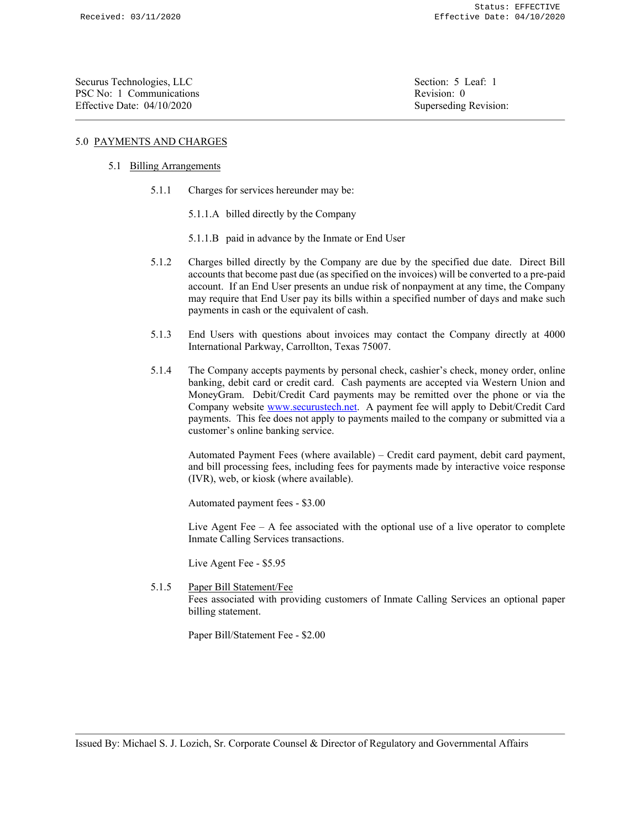Securus Technologies, LLC Securus Technologies, LLC Securus Technologies, LLC PSC No: 1 Communications *Revision: 0* Effective Date: 04/10/2020 Superseding Revision:

# 5.0 PAYMENTS AND CHARGES

# 5.1 Billing Arrangements

- 5.1.1 Charges for services hereunder may be:
	- 5.1.1.A billed directly by the Company
	- 5.1.1.B paid in advance by the Inmate or End User
- 5.1.2 Charges billed directly by the Company are due by the specified due date. Direct Bill accounts that become past due (as specified on the invoices) will be converted to a pre-paid account. If an End User presents an undue risk of nonpayment at any time, the Company may require that End User pay its bills within a specified number of days and make such payments in cash or the equivalent of cash.
- 5.1.3 End Users with questions about invoices may contact the Company directly at 4000 International Parkway, Carrollton, Texas 75007.
- 5.1.4 The Company accepts payments by personal check, cashier's check, money order, online banking, debit card or credit card. Cash payments are accepted via Western Union and MoneyGram. Debit/Credit Card payments may be remitted over the phone or via the Company website www.securustech.net. A payment fee will apply to Debit/Credit Card payments. This fee does not apply to payments mailed to the company or submitted via a customer's online banking service.

Automated Payment Fees (where available) – Credit card payment, debit card payment, and bill processing fees, including fees for payments made by interactive voice response (IVR), web, or kiosk (where available).

Automated payment fees - \$3.00

Live Agent Fee  $-$  A fee associated with the optional use of a live operator to complete Inmate Calling Services transactions.

Live Agent Fee - \$5.95

5.1.5 Paper Bill Statement/Fee Fees associated with providing customers of Inmate Calling Services an optional paper billing statement.

Paper Bill/Statement Fee - \$2.00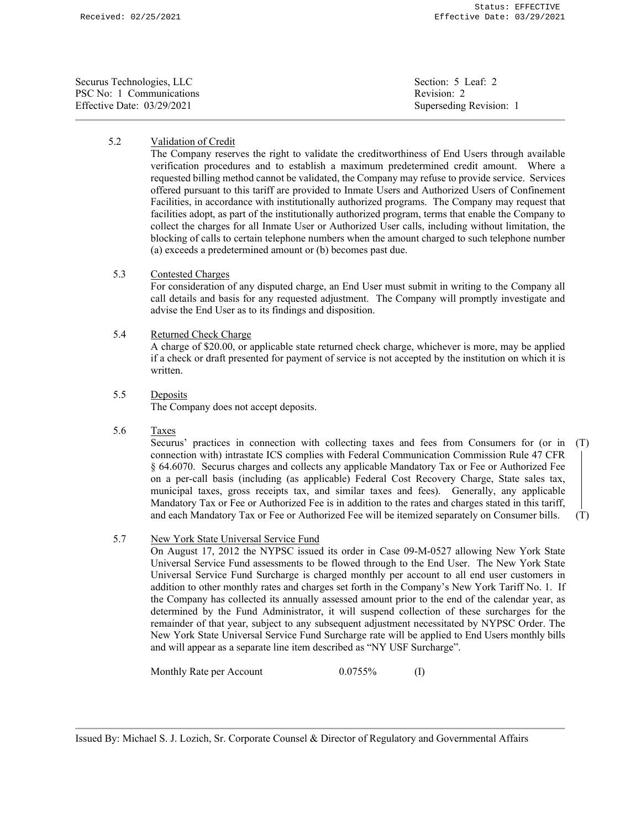| Securus Technologies, LLC  | Section: 5 Leaf: 2      |
|----------------------------|-------------------------|
| PSC No: 1 Communications   | Revision: 2             |
| Effective Date: 03/29/2021 | Superseding Revision: 1 |

# 5.2 Validation of Credit

The Company reserves the right to validate the creditworthiness of End Users through available verification procedures and to establish a maximum predetermined credit amount. Where a requested billing method cannot be validated, the Company may refuse to provide service. Services offered pursuant to this tariff are provided to Inmate Users and Authorized Users of Confinement Facilities, in accordance with institutionally authorized programs. The Company may request that facilities adopt, as part of the institutionally authorized program, terms that enable the Company to collect the charges for all Inmate User or Authorized User calls, including without limitation, the blocking of calls to certain telephone numbers when the amount charged to such telephone number (a) exceeds a predetermined amount or (b) becomes past due.

## 5.3 Contested Charges

For consideration of any disputed charge, an End User must submit in writing to the Company all call details and basis for any requested adjustment. The Company will promptly investigate and advise the End User as to its findings and disposition.

#### 5.4 Returned Check Charge

A charge of \$20.00, or applicable state returned check charge, whichever is more, may be applied if a check or draft presented for payment of service is not accepted by the institution on which it is written.

5.5 Deposits

The Company does not accept deposits.

5.6 Taxes

Securus' practices in connection with collecting taxes and fees from Consumers for (or in (T) connection with) intrastate ICS complies with Federal Communication Commission Rule 47 CFR § 64.6070. Securus charges and collects any applicable Mandatory Tax or Fee or Authorized Fee on a per-call basis (including (as applicable) Federal Cost Recovery Charge, State sales tax, municipal taxes, gross receipts tax, and similar taxes and fees). Generally, any applicable Mandatory Tax or Fee or Authorized Fee is in addition to the rates and charges stated in this tariff, and each Mandatory Tax or Fee or Authorized Fee will be itemized separately on Consumer bills. (T)

## 5.7 New York State Universal Service Fund

On August 17, 2012 the NYPSC issued its order in Case 09-M-0527 allowing New York State Universal Service Fund assessments to be flowed through to the End User. The New York State Universal Service Fund Surcharge is charged monthly per account to all end user customers in addition to other monthly rates and charges set forth in the Company's New York Tariff No. 1. If the Company has collected its annually assessed amount prior to the end of the calendar year, as determined by the Fund Administrator, it will suspend collection of these surcharges for the remainder of that year, subject to any subsequent adjustment necessitated by NYPSC Order. The New York State Universal Service Fund Surcharge rate will be applied to End Users monthly bills and will appear as a separate line item described as "NY USF Surcharge".

Monthly Rate per Account 0.0755% (I)

Issued By: Michael S. J. Lozich, Sr. Corporate Counsel & Director of Regulatory and Governmental Affairs